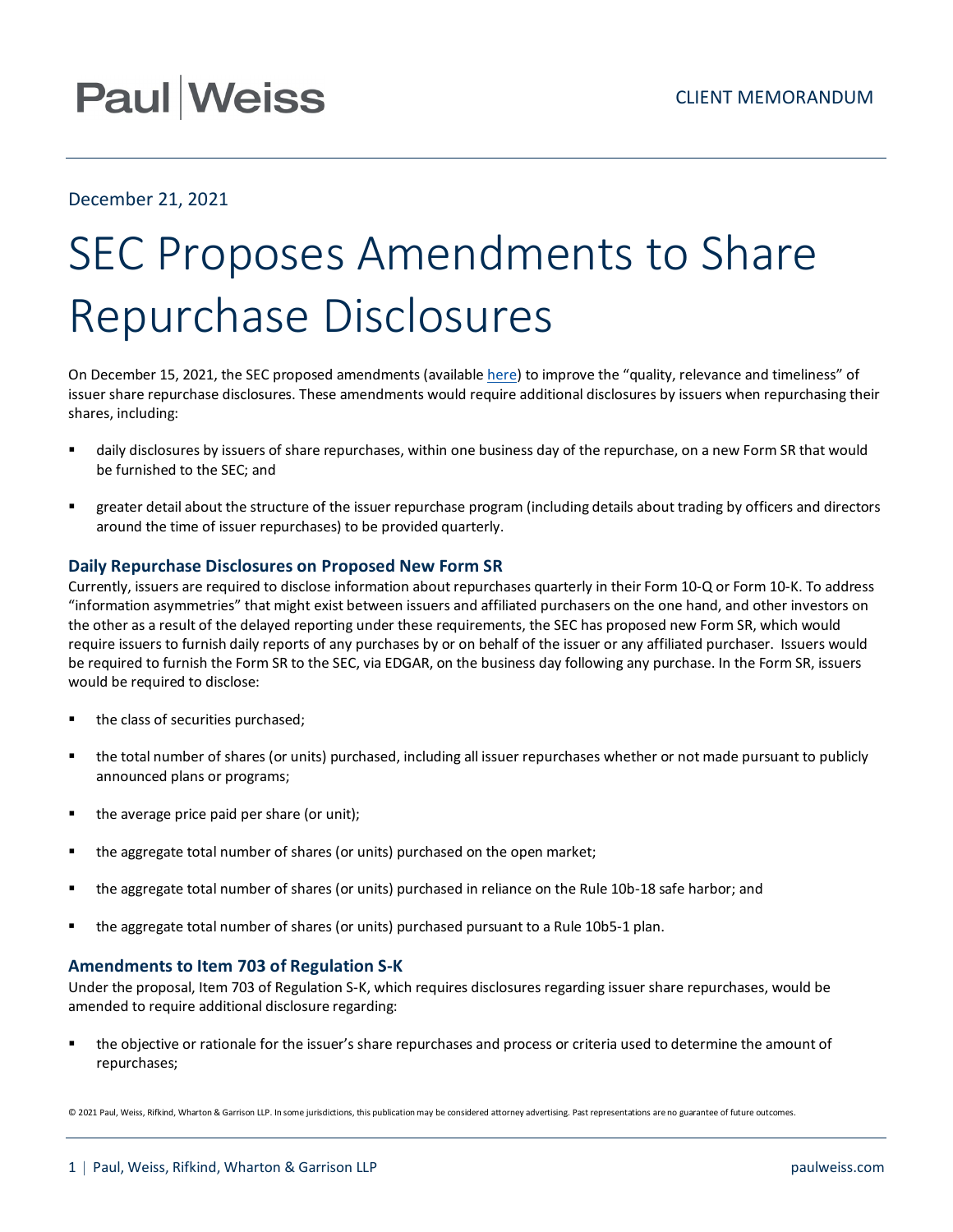## **Paul Weiss**

### December 21, 2021

# SEC Proposes Amendments to Share Repurchase Disclosures

On December 15, 2021, the SEC proposed amendments (available [here\)](https://www.sec.gov/rules/proposed/2021/34-93783.pdf) to improve the "quality, relevance and timeliness" of issuer share repurchase disclosures. These amendments would require additional disclosures by issuers when repurchasing their shares, including:

- daily disclosures by issuers of share repurchases, within one business day of the repurchase, on a new Form SR that would be furnished to the SEC; and
- greater detail about the structure of the issuer repurchase program (including details about trading by officers and directors around the time of issuer repurchases) to be provided quarterly.

### **Daily Repurchase Disclosures on Proposed New Form SR**

Currently, issuers are required to disclose information about repurchases quarterly in their Form 10-Q or Form 10-K. To address "information asymmetries" that might exist between issuers and affiliated purchasers on the one hand, and other investors on the other as a result of the delayed reporting under these requirements, the SEC has proposed new Form SR, which would require issuers to furnish daily reports of any purchases by or on behalf of the issuer or any affiliated purchaser. Issuers would be required to furnish the Form SR to the SEC, via EDGAR, on the business day following any purchase. In the Form SR, issuers would be required to disclose:

- the class of securities purchased;
- the total number of shares (or units) purchased, including all issuer repurchases whether or not made pursuant to publicly announced plans or programs;
- the average price paid per share (or unit);
- the aggregate total number of shares (or units) purchased on the open market;
- the aggregate total number of shares (or units) purchased in reliance on the Rule 10b-18 safe harbor; and
- the aggregate total number of shares (or units) purchased pursuant to a Rule 10b5-1 plan.

### **Amendments to Item 703 of Regulation S-K**

Under the proposal, Item 703 of Regulation S-K, which requires disclosures regarding issuer share repurchases, would be amended to require additional disclosure regarding:

 the objective or rationale for the issuer's share repurchases and process or criteria used to determine the amount of repurchases;

© 2021 Paul, Weiss, Rifkind, Wharton & Garrison LLP. In some jurisdictions, this publication may be considered attorney advertising. Past representations are no guarantee of future outcomes.